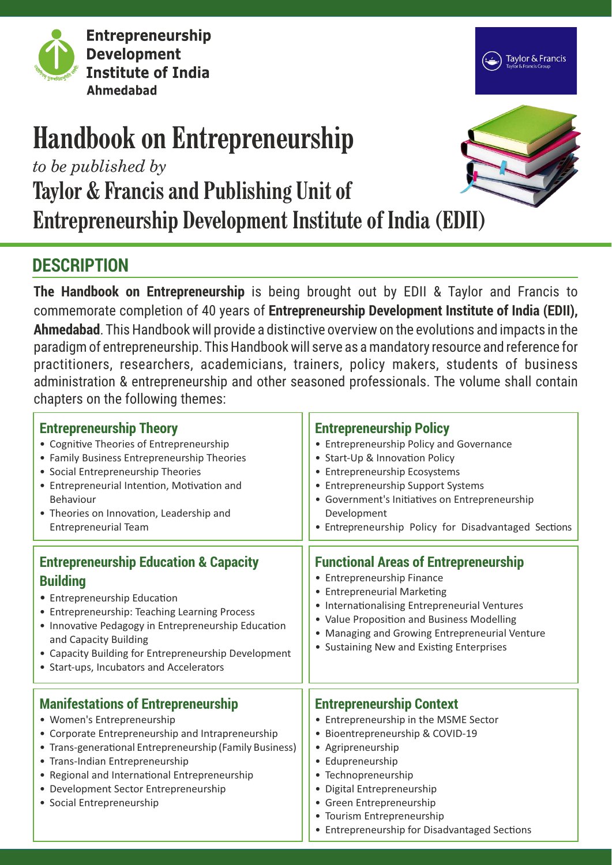

**Entrepreneurship Development Institute of India Ahmedabad** 



# **Handbook on Entrepreneurship**

*to be published by*

**Taylor & Francis and Publishing Unit of**

**Entrepreneurship Development Institute of India (EDII)**

## **DESCRIPTION**

**The Handbook on Entrepreneurship** is being brought out by EDII & Taylor and Francis to commemorate completion of 40 years of **Entrepreneurship Development Institute of India (EDII), Ahmedabad**. This Handbook will provide a distinctive overview on the evolutions and impacts in the paradigm of entrepreneurship. This Handbook will serve as a mandatory resource and reference for practitioners, researchers, academicians, trainers, policy makers, students of business administration & entrepreneurship and other seasoned professionals. The volume shall contain chapters on the following themes:

| <b>Entrepreneurship Theory</b><br>• Cognitive Theories of Entrepreneurship<br>• Family Business Entrepreneurship Theories<br>• Social Entrepreneurship Theories<br>• Entrepreneurial Intention, Motivation and<br>Behaviour<br>• Theories on Innovation, Leadership and<br><b>Entrepreneurial Team</b>                                            | <b>Entrepreneurship Policy</b><br>• Entrepreneurship Policy and Governance<br>• Start-Up & Innovation Policy<br>• Entrepreneurship Ecosystems<br>• Entrepreneurship Support Systems<br>• Government's Initiatives on Entrepreneurship<br>Development<br>• Entrepreneurship Policy for Disadvantaged Sections          |
|---------------------------------------------------------------------------------------------------------------------------------------------------------------------------------------------------------------------------------------------------------------------------------------------------------------------------------------------------|-----------------------------------------------------------------------------------------------------------------------------------------------------------------------------------------------------------------------------------------------------------------------------------------------------------------------|
| <b>Entrepreneurship Education &amp; Capacity</b><br><b>Building</b><br>• Entrepreneurship Education<br>• Entrepreneurship: Teaching Learning Process<br>• Innovative Pedagogy in Entrepreneurship Education<br>and Capacity Building<br>• Capacity Building for Entrepreneurship Development<br>• Start-ups, Incubators and Accelerators          | <b>Functional Areas of Entrepreneurship</b><br>• Entrepreneurship Finance<br>• Entrepreneurial Marketing<br>• Internationalising Entrepreneurial Ventures<br>• Value Proposition and Business Modelling<br>• Managing and Growing Entrepreneurial Venture<br>• Sustaining New and Existing Enterprises                |
| <b>Manifestations of Entrepreneurship</b><br>• Women's Entrepreneurship<br>• Corporate Entrepreneurship and Intrapreneurship<br>• Trans-generational Entrepreneurship (Family Business)<br>• Trans-Indian Entrepreneurship<br>• Regional and International Entrepreneurship<br>• Development Sector Entrepreneurship<br>• Social Entrepreneurship | <b>Entrepreneurship Context</b><br>• Entrepreneurship in the MSME Sector<br>• Bioentrepreneurship & COVID-19<br>• Agripreneurship<br>• Edupreneurship<br>• Technopreneurship<br>· Digital Entrepreneurship<br>• Green Entrepreneurship<br>• Tourism Entrepreneurship<br>• Entrepreneurship for Disadvantaged Sections |